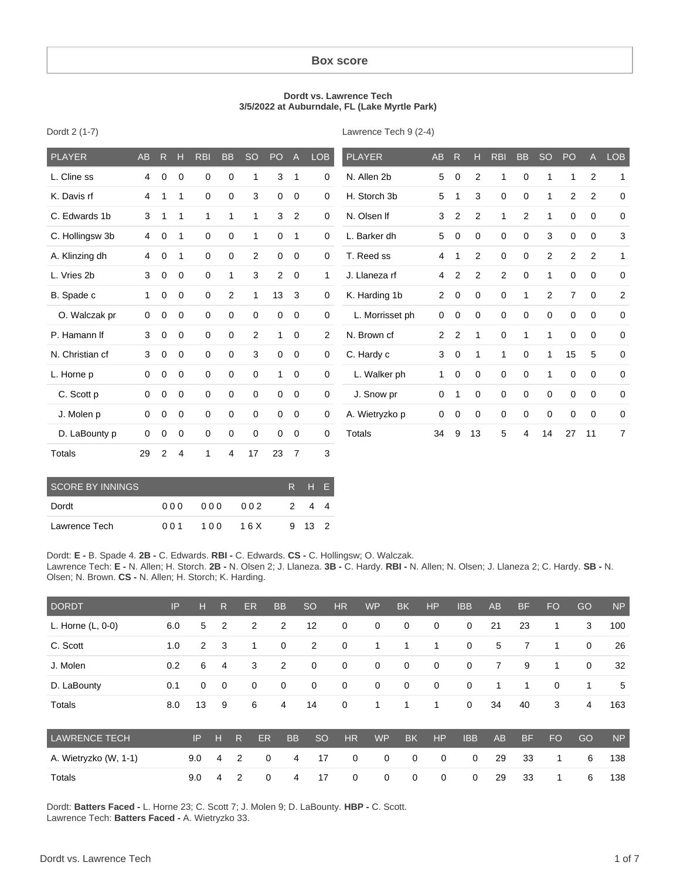#### **Box score**

#### **Dordt vs. Lawrence Tech 3/5/2022 at Auburndale, FL (Lake Myrtle Park)**

| PLAYER             | <b>AB</b>    | $\mathsf{R}$ | Н           | <b>RBI</b>  | <b>BB</b>   | <b>SO</b>    | PO             | $\mathsf{A}$   | <b>LOB</b>          | <b>PLAYER</b>   | <b>AB</b>      | $\mathsf{R}$   | н            | <b>RBI</b>     | <b>BB</b>      | <b>SO</b>    | PO             | $\mathsf{A}$   | LOB            |
|--------------------|--------------|--------------|-------------|-------------|-------------|--------------|----------------|----------------|---------------------|-----------------|----------------|----------------|--------------|----------------|----------------|--------------|----------------|----------------|----------------|
| L. Cline ss        | 4            | $\mathbf 0$  | $\mathbf 0$ | $\mathbf 0$ | $\mathbf 0$ | 1            | 3              | $\mathbf{1}$   | $\mathbf 0$         | N. Allen 2b     | 5              | $\mathbf 0$    | 2            | 1              | $\mathbf 0$    | 1            | 1              | $\overline{c}$ | 1              |
| K. Davis rf        | 4            | 1            | 1           | $\mathbf 0$ | $\mathbf 0$ | 3            | $\mathbf 0$    | $\mathbf 0$    | $\mathbf 0$         | H. Storch 3b    | 5              | 1              | 3            | 0              | $\mathbf 0$    | $\mathbf{1}$ | $\overline{2}$ | $\overline{2}$ | $\mathbf 0$    |
| C. Edwards 1b      | 3            | 1            | 1           | 1           | 1           | 1            | 3              | $\overline{2}$ | $\mathbf 0$         | N. Olsen If     | 3              | 2              | 2            | 1              | $\overline{2}$ | 1            | 0              | $\mathbf 0$    | $\mathbf 0$    |
| C. Hollingsw 3b    | 4            | 0            | 1           | $\mathbf 0$ | 0           | 1            | 0              | $\mathbf{1}$   | 0                   | L. Barker dh    | 5              | 0              | 0            | 0              | $\mathbf 0$    | 3            | 0              | 0              | 3              |
| A. Klinzing dh     | 4            | 0            | 1           | $\mathbf 0$ | $\mathbf 0$ | 2            | $\mathbf 0$    | $\mathbf 0$    | $\mathbf 0$         | T. Reed ss      | 4              | 1              | 2            | 0              | $\mathbf 0$    | 2            | $\overline{2}$ | 2              | 1              |
| L. Vries 2b        | 3            | $\mathbf 0$  | $\mathbf 0$ | $\mathbf 0$ | 1           | 3            | $\overline{2}$ | $\mathbf 0$    | $\mathbf{1}$        | J. Llaneza rf   | 4              | $\overline{2}$ | 2            | $\overline{2}$ | $\mathbf 0$    | $\mathbf{1}$ | 0              | $\mathbf 0$    | 0              |
| B. Spade c         | $\mathbf{1}$ | 0            | $\mathbf 0$ | $\mathbf 0$ | 2           | $\mathbf{1}$ | 13             | 3              | 0                   | K. Harding 1b   | $\overline{2}$ | $\pmb{0}$      | $\mathbf 0$  | 0              | $\mathbf{1}$   | 2            | $\overline{7}$ | 0              | $\overline{a}$ |
| O. Walczak pr      | $\mathbf 0$  | 0            | $\mathbf 0$ | $\mathbf 0$ | $\mathbf 0$ | $\mathbf 0$  | $\mathbf 0$    | $\mathbf 0$    | $\mathbf 0$         | L. Morrisset ph | $\mathbf 0$    | 0              | $\mathbf 0$  | $\mathbf 0$    | $\mathbf 0$    | $\mathbf 0$  | $\mathbf 0$    | 0              | $\mathbf 0$    |
| P. Hamann If       | 3            | 0            | $\mathbf 0$ | $\mathbf 0$ | $\mathbf 0$ | 2            | $\mathbf{1}$   | $\mathbf 0$    | $\mathbf{2}$        | N. Brown cf     | $\overline{2}$ | 2              | $\mathbf{1}$ | 0              | $\mathbf{1}$   | $\mathbf{1}$ | 0              | $\mathbf 0$    | $\mathbf 0$    |
| N. Christian cf    | 3            | 0            | $\mathbf 0$ | $\mathbf 0$ | 0           | 3            | $\mathbf 0$    | $\mathbf 0$    | $\mathbf 0$         | C. Hardy c      | 3              | 0              | $\mathbf 1$  | 1              | $\mathbf 0$    | $\mathbf{1}$ | 15             | 5              | $\mathbf 0$    |
| L. Horne p         | $\mathbf 0$  | 0            | 0           | $\mathbf 0$ | 0           | $\mathbf 0$  | 1              | 0              | $\mathbf 0$         | L. Walker ph    | $\mathbf{1}$   | 0              | $\mathbf 0$  | 0              | 0              | 1            | 0              | $\mathbf 0$    | 0              |
| C. Scott p         | $\mathbf 0$  | 0            | $\mathbf 0$ | $\mathbf 0$ | 0           | $\mathbf 0$  | 0              | $\mathbf 0$    | $\mathsf{O}\xspace$ | J. Snow pr      | 0              | 1              | $\mathbf 0$  | 0              | $\mathbf 0$    | 0            | 0              | $\mathbf 0$    | $\mathbf 0$    |
| J. Molen p         | $\mathbf 0$  | $\mathbf 0$  | $\mathbf 0$ | $\mathbf 0$ | 0           | $\mathbf 0$  | 0              | $\mathbf 0$    | 0                   | A. Wietryzko p  | 0              | 0              | $\mathbf 0$  | 0              | $\mathbf 0$    | 0            | 0              | $\mathbf 0$    | $\mathbf 0$    |
| D. LaBounty p      | $\mathbf 0$  | 0            | $\mathbf 0$ | $\mathbf 0$ | 0           | $\mathbf 0$  | 0              | 0              | 0                   | <b>Totals</b>   | 34             | 9              | 13           | 5              | 4              | 14           | 27             | 11             | 7              |
| Totals             | 29           | $\mathbf{2}$ | 4           | 1           | 4           | 17           | 23             | $\overline{7}$ | $\mathbf{3}$        |                 |                |                |              |                |                |              |                |                |                |
| COOPE BY INITIATOO |              |              |             |             |             |              |                |                | $R = 11.5$          |                 |                |                |              |                |                |              |                |                |                |

| <b>SCORE BY INNINGS</b> |      | RHF |      |   |              |  |
|-------------------------|------|-----|------|---|--------------|--|
| Dordt                   | 00 Q | 000 | 002  | 2 | 44           |  |
| Lawrence Tech           | 001  | 100 | 16 X |   | $9 \t13 \t2$ |  |

Dordt: **E -** B. Spade 4. **2B -** C. Edwards. **RBI -** C. Edwards. **CS -** C. Hollingsw; O. Walczak.

Lawrence Tech: **E -** N. Allen; H. Storch. **2B -** N. Olsen 2; J. Llaneza. **3B -** C. Hardy. **RBI -** N. Allen; N. Olsen; J. Llaneza 2; C. Hardy. **SB -** N. Olsen; N. Brown. **CS -** N. Allen; H. Storch; K. Harding.

| <b>DORDT</b>          | IP  | н              | R           |   | <b>ER</b>   | <b>BB</b>      | <b>SO</b>   | <b>HR</b>   | <b>WP</b>   | <b>BK</b>   | <b>HP</b>   | <b>IBB</b> | AB | <b>BF</b> | <b>FO</b> | GO             | <b>NP</b> |
|-----------------------|-----|----------------|-------------|---|-------------|----------------|-------------|-------------|-------------|-------------|-------------|------------|----|-----------|-----------|----------------|-----------|
| L. Horne (L, 0-0)     | 6.0 | 5              | 2           |   | 2           | $\overline{2}$ | 12          | 0           | 0           | $\mathbf 0$ | 0           | 0          | 21 | 23        | 1         | 3              | 100       |
| C. Scott              | 1.0 | $\overline{2}$ | 3           |   | 1           | 0              | 2           | $\mathbf 0$ | 1           | 1           | 1           | 0          | 5  | 7         | 1         | $\mathbf 0$    | 26        |
| J. Molen              | 0.2 | 6              | 4           |   | 3           | $\overline{2}$ | $\mathbf 0$ | 0           | $\mathbf 0$ | $\mathbf 0$ | $\mathbf 0$ | 0          | 7  | 9         | 1         | $\mathbf 0$    | 32        |
| D. LaBounty           | 0.1 | 0              | $\mathbf 0$ |   | 0           | $\mathbf 0$    | $\mathbf 0$ | 0           | $\mathbf 0$ | $\mathbf 0$ | $\mathbf 0$ | 0          | 1  | 1         | 0         | 1              | 5         |
| Totals                | 8.0 | 13             | 9           |   | 6           | 4              | 14          | 0           | 1           | 1           | 1           | 0          | 34 | 40        | 3         | $\overline{4}$ | 163       |
| <b>LAWRENCE TECH</b>  |     | IP             | н           | R | <b>ER</b>   | <b>BB</b>      | <b>SO</b>   | HR          | <b>WP</b>   | <b>BK</b>   | HP          | <b>IBB</b> | AB | <b>BF</b> | <b>FO</b> | GO             | <b>NP</b> |
| A. Wietryzko (W, 1-1) |     | 9.0            | 4           | 2 | 0           | 4              | 17          | 0           | 0           | 0           | $\mathbf 0$ | 0          | 29 | 33        | 1         | 6              | 138       |
| Totals                |     | 9.0            | 4           | 2 | $\mathbf 0$ | 4              | 17          | 0           | 0           | 0           | $\mathbf 0$ | $\Omega$   | 29 | 33        | 1         | 6              | 138       |

Dordt: **Batters Faced -** L. Horne 23; C. Scott 7; J. Molen 9; D. LaBounty. **HBP -** C. Scott. Lawrence Tech: **Batters Faced -** A. Wietryzko 33.

Dordt 2 (1-7)

Lawrence Tech 9 (2-4)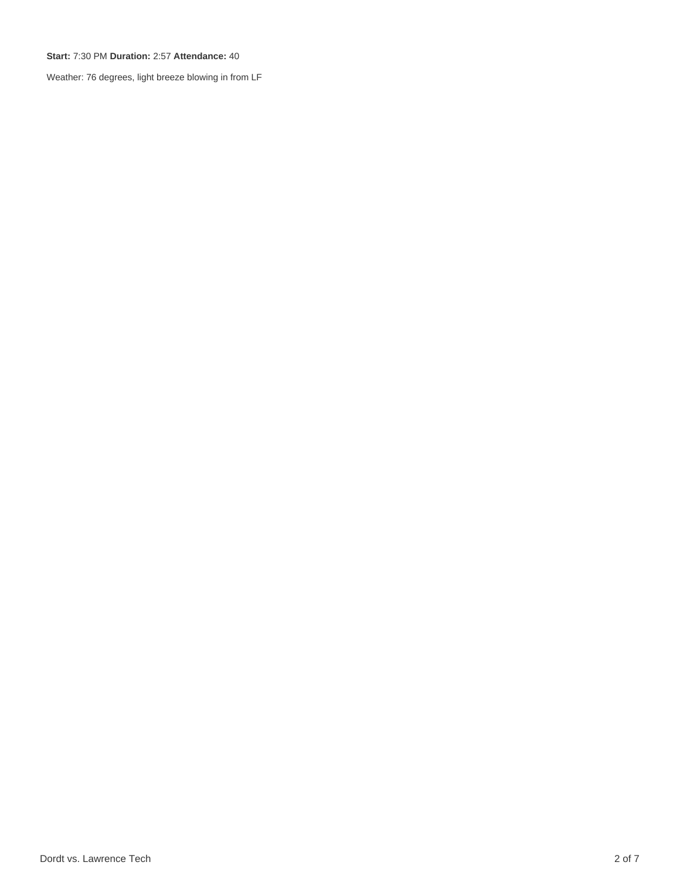**Start:** 7:30 PM **Duration:** 2:57 **Attendance:** 40

Weather: 76 degrees, light breeze blowing in from LF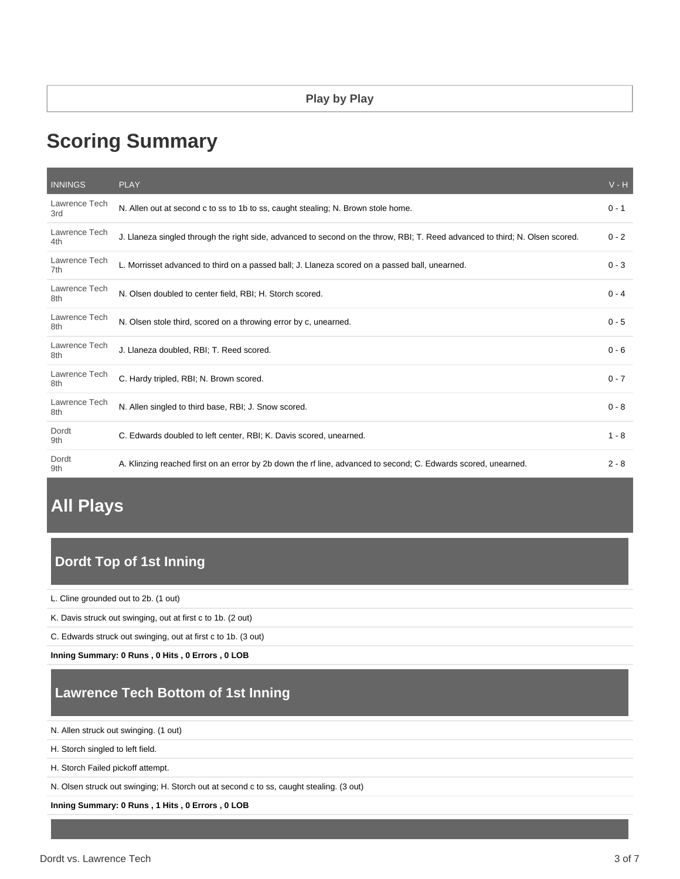# **Scoring Summary**

| <b>INNINGS</b>       | <b>PLAY</b>                                                                                                                  | $V - H$ |
|----------------------|------------------------------------------------------------------------------------------------------------------------------|---------|
| Lawrence Tech<br>3rd | N. Allen out at second c to ss to 1b to ss, caught stealing; N. Brown stole home.                                            | $0 - 1$ |
| Lawrence Tech<br>4th | J. Llaneza singled through the right side, advanced to second on the throw, RBI; T. Reed advanced to third; N. Olsen scored. | $0 - 2$ |
| Lawrence Tech<br>7th | L. Morrisset advanced to third on a passed ball; J. Llaneza scored on a passed ball, unearned.                               | $0 - 3$ |
| Lawrence Tech<br>8th | N. Olsen doubled to center field, RBI; H. Storch scored.                                                                     | $0 - 4$ |
| Lawrence Tech<br>8th | N. Olsen stole third, scored on a throwing error by c, unearned.                                                             | $0 - 5$ |
| Lawrence Tech<br>8th | J. Llaneza doubled, RBI; T. Reed scored.                                                                                     | $0 - 6$ |
| Lawrence Tech<br>8th | C. Hardy tripled, RBI; N. Brown scored.                                                                                      | $0 - 7$ |
| Lawrence Tech<br>8th | N. Allen singled to third base, RBI; J. Snow scored.                                                                         | $0 - 8$ |
| Dordt<br>9th         | C. Edwards doubled to left center, RBI; K. Davis scored, unearned.                                                           | $1 - 8$ |
| Dordt<br>9th         | A. Klinzing reached first on an error by 2b down the rf line, advanced to second; C. Edwards scored, unearned.               | $2 - 8$ |

# **All Plays**

# **Dordt Top of 1st Inning**

L. Cline grounded out to 2b. (1 out)

K. Davis struck out swinging, out at first c to 1b. (2 out)

C. Edwards struck out swinging, out at first c to 1b. (3 out)

**Inning Summary: 0 Runs , 0 Hits , 0 Errors , 0 LOB**

## **Lawrence Tech Bottom of 1st Inning**

N. Allen struck out swinging. (1 out)

H. Storch singled to left field.

H. Storch Failed pickoff attempt.

N. Olsen struck out swinging; H. Storch out at second c to ss, caught stealing. (3 out)

**Inning Summary: 0 Runs , 1 Hits , 0 Errors , 0 LOB**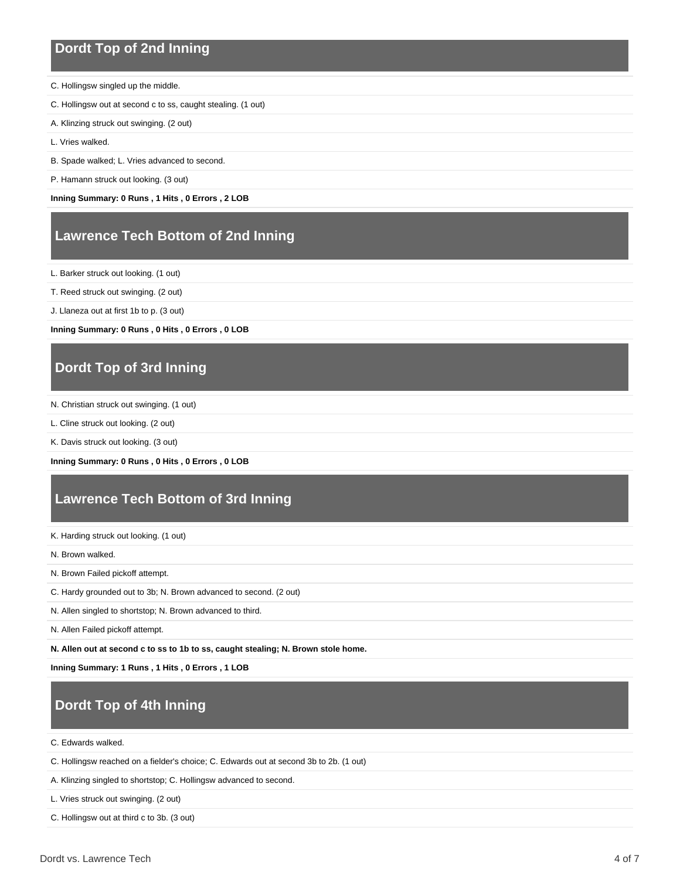#### **Dordt Top of 2nd Inning**

- C. Hollingsw singled up the middle.
- C. Hollingsw out at second c to ss, caught stealing. (1 out)
- A. Klinzing struck out swinging. (2 out)

L. Vries walked.

- B. Spade walked; L. Vries advanced to second.
- P. Hamann struck out looking. (3 out)

**Inning Summary: 0 Runs , 1 Hits , 0 Errors , 2 LOB**

### **Lawrence Tech Bottom of 2nd Inning**

L. Barker struck out looking. (1 out)

- T. Reed struck out swinging. (2 out)
- J. Llaneza out at first 1b to p. (3 out)

**Inning Summary: 0 Runs , 0 Hits , 0 Errors , 0 LOB**

#### **Dordt Top of 3rd Inning**

N. Christian struck out swinging. (1 out)

L. Cline struck out looking. (2 out)

K. Davis struck out looking. (3 out)

**Inning Summary: 0 Runs , 0 Hits , 0 Errors , 0 LOB**

#### **Lawrence Tech Bottom of 3rd Inning**

K. Harding struck out looking. (1 out)

N. Brown walked.

- N. Brown Failed pickoff attempt.
- C. Hardy grounded out to 3b; N. Brown advanced to second. (2 out)

N. Allen singled to shortstop; N. Brown advanced to third.

N. Allen Failed pickoff attempt.

**N. Allen out at second c to ss to 1b to ss, caught stealing; N. Brown stole home.**

**Inning Summary: 1 Runs , 1 Hits , 0 Errors , 1 LOB**

### **Dordt Top of 4th Inning**

C. Edwards walked.

C. Hollingsw reached on a fielder's choice; C. Edwards out at second 3b to 2b. (1 out)

A. Klinzing singled to shortstop; C. Hollingsw advanced to second.

L. Vries struck out swinging. (2 out)

C. Hollingsw out at third c to 3b. (3 out)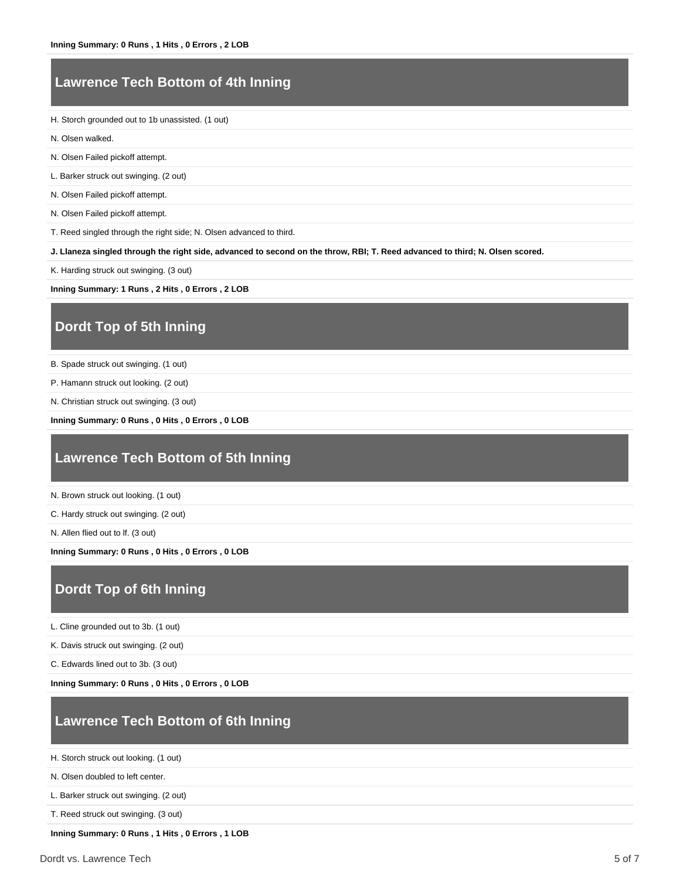#### **Lawrence Tech Bottom of 4th Inning**

H. Storch grounded out to 1b unassisted. (1 out)

- N. Olsen walked.
- N. Olsen Failed pickoff attempt.

L. Barker struck out swinging. (2 out)

N. Olsen Failed pickoff attempt.

N. Olsen Failed pickoff attempt.

T. Reed singled through the right side; N. Olsen advanced to third.

**J. Llaneza singled through the right side, advanced to second on the throw, RBI; T. Reed advanced to third; N. Olsen scored.**

K. Harding struck out swinging. (3 out)

**Inning Summary: 1 Runs , 2 Hits , 0 Errors , 2 LOB**

### **Dordt Top of 5th Inning**

- B. Spade struck out swinging. (1 out)
- P. Hamann struck out looking. (2 out)
- N. Christian struck out swinging. (3 out)

**Inning Summary: 0 Runs , 0 Hits , 0 Errors , 0 LOB**

#### **Lawrence Tech Bottom of 5th Inning**

N. Brown struck out looking. (1 out)

C. Hardy struck out swinging. (2 out)

N. Allen flied out to lf. (3 out)

**Inning Summary: 0 Runs , 0 Hits , 0 Errors , 0 LOB**

### **Dordt Top of 6th Inning**

L. Cline grounded out to 3b. (1 out)

K. Davis struck out swinging. (2 out)

C. Edwards lined out to 3b. (3 out)

**Inning Summary: 0 Runs , 0 Hits , 0 Errors , 0 LOB**

### **Lawrence Tech Bottom of 6th Inning**

H. Storch struck out looking. (1 out)

N. Olsen doubled to left center.

L. Barker struck out swinging. (2 out)

T. Reed struck out swinging. (3 out)

**Inning Summary: 0 Runs , 1 Hits , 0 Errors , 1 LOB**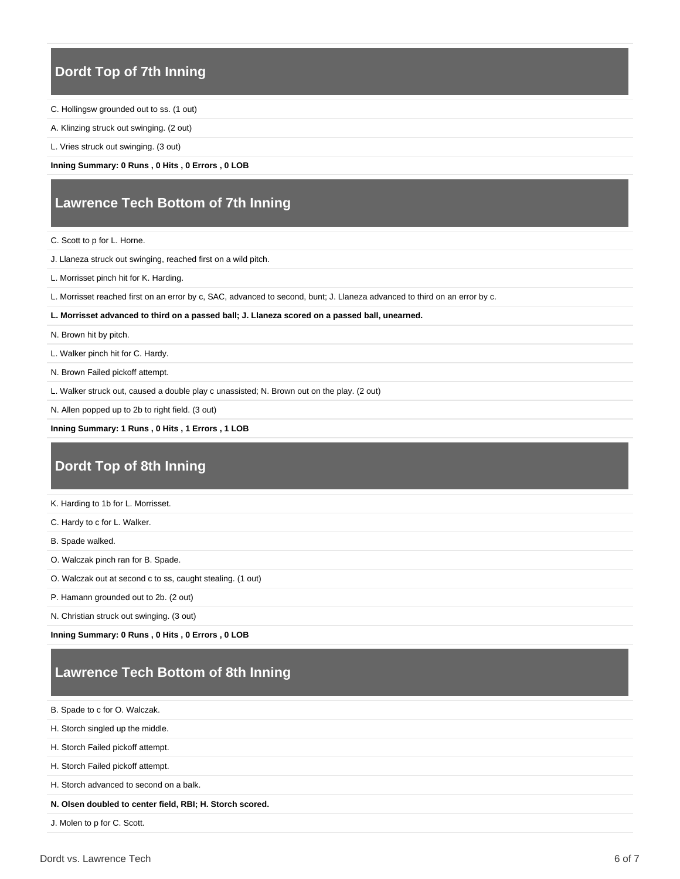#### **Dordt Top of 7th Inning**

- C. Hollingsw grounded out to ss. (1 out)
- A. Klinzing struck out swinging. (2 out)
- L. Vries struck out swinging. (3 out)

**Inning Summary: 0 Runs , 0 Hits , 0 Errors , 0 LOB**

### **Lawrence Tech Bottom of 7th Inning**

- C. Scott to p for L. Horne.
- J. Llaneza struck out swinging, reached first on a wild pitch.
- L. Morrisset pinch hit for K. Harding.
- L. Morrisset reached first on an error by c, SAC, advanced to second, bunt; J. Llaneza advanced to third on an error by c.
- **L. Morrisset advanced to third on a passed ball; J. Llaneza scored on a passed ball, unearned.**
- N. Brown hit by pitch.
- L. Walker pinch hit for C. Hardy.
- N. Brown Failed pickoff attempt.
- L. Walker struck out, caused a double play c unassisted; N. Brown out on the play. (2 out)
- N. Allen popped up to 2b to right field. (3 out)

#### **Inning Summary: 1 Runs , 0 Hits , 1 Errors , 1 LOB**

## **Dordt Top of 8th Inning**

- K. Harding to 1b for L. Morrisset.
- C. Hardy to c for L. Walker.
- B. Spade walked.
- O. Walczak pinch ran for B. Spade.
- O. Walczak out at second c to ss, caught stealing. (1 out)
- P. Hamann grounded out to 2b. (2 out)
- N. Christian struck out swinging. (3 out)
- **Inning Summary: 0 Runs , 0 Hits , 0 Errors , 0 LOB**

### **Lawrence Tech Bottom of 8th Inning**

- B. Spade to c for O. Walczak.
- H. Storch singled up the middle.
- H. Storch Failed pickoff attempt.
- H. Storch Failed pickoff attempt.
- H. Storch advanced to second on a balk.

#### **N. Olsen doubled to center field, RBI; H. Storch scored.**

J. Molen to p for C. Scott.